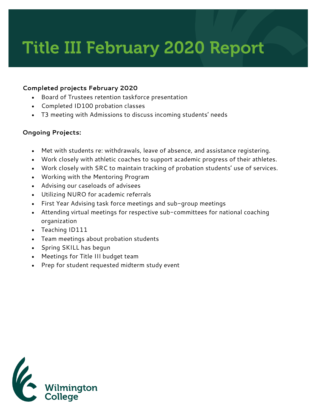# Title III February 2020 Report

### **Completed projects February 2020**

- Board of Trustees retention taskforce presentation
- Completed ID100 probation classes
- T3 meeting with Admissions to discuss incoming students' needs

# **Ongoing Projects:**

- Met with students re: withdrawals, leave of absence, and assistance registering.
- Work closely with athletic coaches to support academic progress of their athletes.
- Work closely with SRC to maintain tracking of probation students' use of services.
- Working with the Mentoring Program
- Advising our caseloads of advisees
- Utilizing NURO for academic referrals
- First Year Advising task force meetings and sub-group meetings
- Attending virtual meetings for respective sub-committees for national coaching organization
- Teaching ID111
- Team meetings about probation students
- Spring SKILL has begun
- Meetings for Title III budget team
- Prep for student requested midterm study event

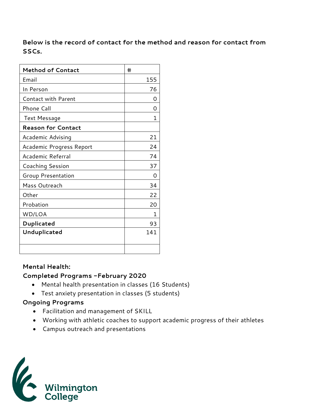# **Below is the record of contact for the method and reason for contact from SSCs.**

| <b>Method of Contact</b>   | #   |
|----------------------------|-----|
| Email                      | 155 |
| In Person                  | 76  |
| <b>Contact with Parent</b> | Ω   |
| Phone Call                 | Ω   |
| Text Message               | 1   |
| <b>Reason for Contact</b>  |     |
| Academic Advising          | 21  |
| Academic Progress Report   | 24  |
| Academic Referral          | 74  |
| Coaching Session           | 37  |
| <b>Group Presentation</b>  | Ω   |
| Mass Outreach              | 34  |
| Other                      | 22  |
| Probation                  | 20  |
| WD/LOA                     | 1   |
| Duplicated                 | 93  |
| Unduplicated               | 141 |
|                            |     |

#### **Mental Health:**

# **Completed Programs -February 2020**

- Mental health presentation in classes (16 Students)
- Test anxiety presentation in classes (5 students)

# **Ongoing Programs**

- Facilitation and management of SKILL
- Working with athletic coaches to support academic progress of their athletes
- Campus outreach and presentations